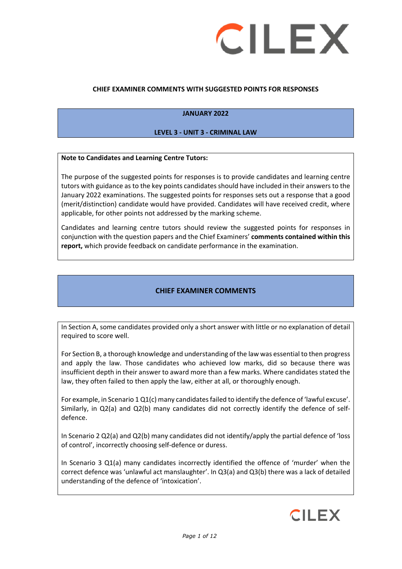

### **CHIEF EXAMINER COMMENTS WITH SUGGESTED POINTS FOR RESPONSES**

#### **JANUARY 2022**

#### **LEVEL 3 - UNIT 3 - CRIMINAL LAW**

#### **Note to Candidates and Learning Centre Tutors:**

The purpose of the suggested points for responses is to provide candidates and learning centre tutors with guidance as to the key points candidates should have included in their answers to the January 2022 examinations. The suggested points for responses sets out a response that a good (merit/distinction) candidate would have provided. Candidates will have received credit, where applicable, for other points not addressed by the marking scheme.

Candidates and learning centre tutors should review the suggested points for responses in conjunction with the question papers and the Chief Examiners' **comments contained within this report,** which provide feedback on candidate performance in the examination.

### **CHIEF EXAMINER COMMENTS**

In Section A, some candidates provided only a short answer with little or no explanation of detail required to score well.

For Section B, a thorough knowledge and understanding of the law was essential to then progress and apply the law. Those candidates who achieved low marks, did so because there was insufficient depth in their answer to award more than a few marks. Where candidates stated the law, they often failed to then apply the law, either at all, or thoroughly enough.

For example, in Scenario 1 Q1(c) many candidates failed to identify the defence of 'lawful excuse'. Similarly, in Q2(a) and Q2(b) many candidates did not correctly identify the defence of selfdefence.

In Scenario 2 Q2(a) and Q2(b) many candidates did not identify/apply the partial defence of 'loss of control', incorrectly choosing self-defence or duress.

In Scenario 3 Q1(a) many candidates incorrectly identified the offence of 'murder' when the correct defence was 'unlawful act manslaughter'. In Q3(a) and Q3(b) there was a lack of detailed understanding of the defence of 'intoxication'.

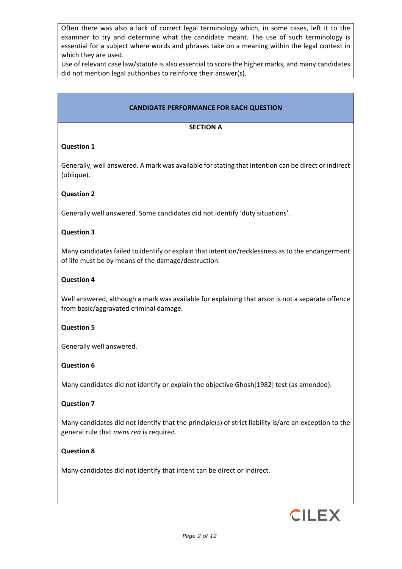Often there was also a lack of correct legal terminology which, in some cases, left it to the examiner to try and determine what the candidate meant. The use of such terminology is essential for a subject where words and phrases take on a meaning within the legal context in which they are used.

Use of relevant case law/statute is also essential to score the higher marks, and many candidates did not mention legal authorities to reinforce their answer(s).

### **CANDIDATE PERFORMANCE FOR EACH QUESTION**

#### **SECTION A**

### **Question 1**

Generally, well answered. A mark was available for stating that intention can be direct or indirect (oblique).

#### **Question 2**

Generally well answered. Some candidates did not identify 'duty situations'.

### **Question 3**

Many candidates failed to identify or explain that intention/recklessness as to the endangerment of life must be by means of the damage/destruction.

#### **Question 4**

Well answered, although a mark was available for explaining that arson is not a separate offence from basic/aggravated criminal damage.

#### **Question 5**

Generally well answered.

### **Question 6**

Many candidates did not identify or explain the objective Ghosh[1982] test (as amended).

#### **Question 7**

Many candidates did not identify that the principle(s) of strict liability is/are an exception to the general rule that *mens rea* is required.

#### **Question 8**

Many candidates did not identify that intent can be direct or indirect.

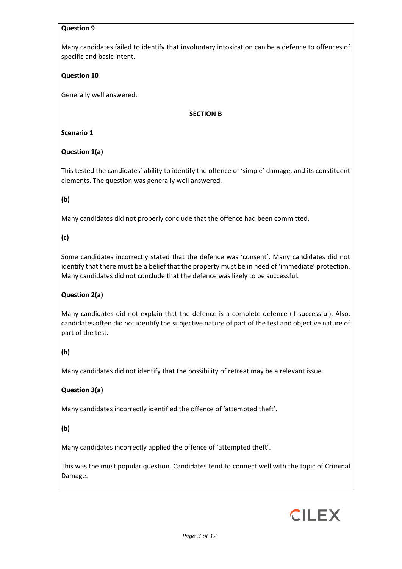### **Question 9**

Many candidates failed to identify that involuntary intoxication can be a defence to offences of specific and basic intent.

### **Question 10**

Generally well answered.

### **SECTION B**

### **Scenario 1**

### **Question 1(a)**

This tested the candidates' ability to identify the offence of 'simple' damage, and its constituent elements. The question was generally well answered.

### **(b)**

Many candidates did not properly conclude that the offence had been committed.

### **(c)**

Some candidates incorrectly stated that the defence was 'consent'. Many candidates did not identify that there must be a belief that the property must be in need of 'immediate' protection. Many candidates did not conclude that the defence was likely to be successful.

### **Question 2(a)**

Many candidates did not explain that the defence is a complete defence (if successful). Also, candidates often did not identify the subjective nature of part of the test and objective nature of part of the test.

# **(b)**

Many candidates did not identify that the possibility of retreat may be a relevant issue.

### **Question 3(a)**

Many candidates incorrectly identified the offence of 'attempted theft'.

### **(b)**

Many candidates incorrectly applied the offence of 'attempted theft'.

This was the most popular question. Candidates tend to connect well with the topic of Criminal Damage.

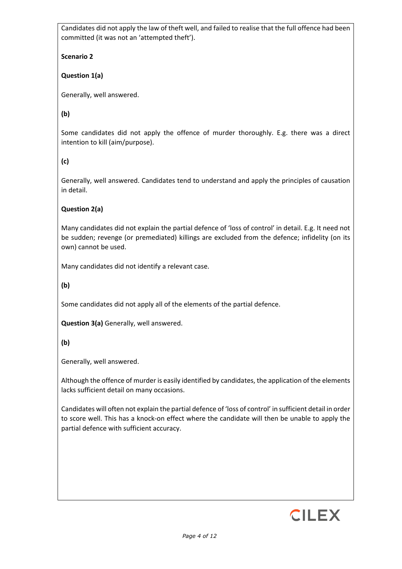Candidates did not apply the law of theft well, and failed to realise that the full offence had been committed (it was not an 'attempted theft').

**Scenario 2**

**Question 1(a)**

Generally, well answered.

**(b)** 

Some candidates did not apply the offence of murder thoroughly. E.g. there was a direct intention to kill (aim/purpose).

**(c)** 

Generally, well answered. Candidates tend to understand and apply the principles of causation in detail.

# **Question 2(a)**

Many candidates did not explain the partial defence of 'loss of control' in detail. E.g. It need not be sudden; revenge (or premediated) killings are excluded from the defence; infidelity (on its own) cannot be used.

Many candidates did not identify a relevant case.

**(b)** 

Some candidates did not apply all of the elements of the partial defence.

**Question 3(a)** Generally, well answered.

**(b)**

Generally, well answered.

Although the offence of murder is easily identified by candidates, the application of the elements lacks sufficient detail on many occasions.

Candidates will often not explain the partial defence of 'loss of control' in sufficient detail in order to score well. This has a knock-on effect where the candidate will then be unable to apply the partial defence with sufficient accuracy.

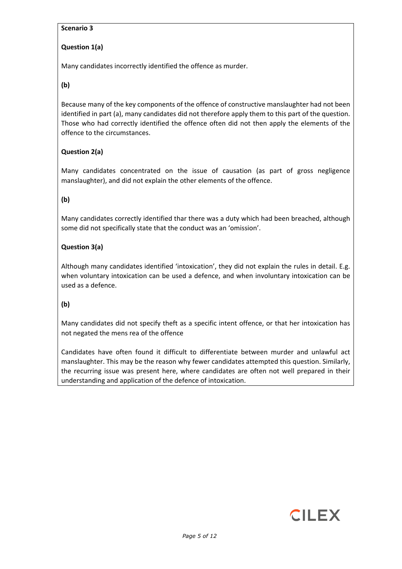### **Scenario 3**

# **Question 1(a)**

Many candidates incorrectly identified the offence as murder.

**(b)**

Because many of the key components of the offence of constructive manslaughter had not been identified in part (a), many candidates did not therefore apply them to this part of the question. Those who had correctly identified the offence often did not then apply the elements of the offence to the circumstances.

# **Question 2(a)**

Many candidates concentrated on the issue of causation (as part of gross negligence manslaughter), and did not explain the other elements of the offence.

# **(b)**

Many candidates correctly identified thar there was a duty which had been breached, although some did not specifically state that the conduct was an 'omission'.

# **Question 3(a)**

Although many candidates identified 'intoxication', they did not explain the rules in detail. E.g. when voluntary intoxication can be used a defence, and when involuntary intoxication can be used as a defence.

# **(b)**

Many candidates did not specify theft as a specific intent offence, or that her intoxication has not negated the mens rea of the offence

Candidates have often found it difficult to differentiate between murder and unlawful act manslaughter. This may be the reason why fewer candidates attempted this question. Similarly, the recurring issue was present here, where candidates are often not well prepared in their understanding and application of the defence of intoxication.

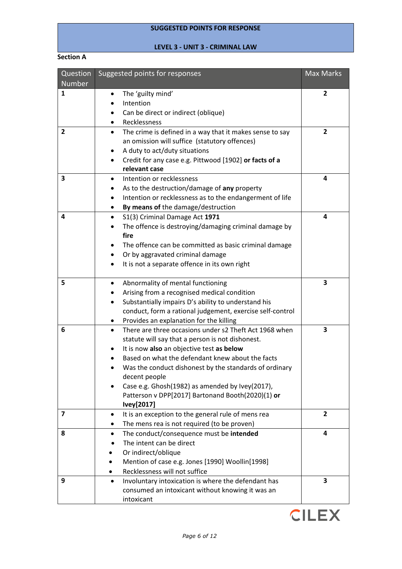# **SUGGESTED POINTS FOR RESPONSE**

# **LEVEL 3 - UNIT 3 - CRIMINAL LAW**

#### **Section A**

| Question<br>Number | Suggested points for responses                                        | <b>Max Marks</b> |
|--------------------|-----------------------------------------------------------------------|------------------|
| 1                  | The 'guilty mind'                                                     | 2                |
|                    | Intention                                                             |                  |
|                    | Can be direct or indirect (oblique)                                   |                  |
|                    | Recklessness                                                          |                  |
| $\mathbf{2}$       | The crime is defined in a way that it makes sense to say<br>$\bullet$ | $\overline{2}$   |
|                    | an omission will suffice (statutory offences)                         |                  |
|                    | A duty to act/duty situations                                         |                  |
|                    | Credit for any case e.g. Pittwood [1902] or facts of a<br>$\bullet$   |                  |
|                    | relevant case                                                         |                  |
| 3                  | Intention or recklessness                                             | 4                |
|                    | As to the destruction/damage of any property                          |                  |
|                    | Intention or recklessness as to the endangerment of life              |                  |
|                    | By means of the damage/destruction                                    |                  |
| 4                  | S1(3) Criminal Damage Act 1971<br>$\bullet$                           | 4                |
|                    | The offence is destroying/damaging criminal damage by<br>fire         |                  |
|                    | The offence can be committed as basic criminal damage                 |                  |
|                    | Or by aggravated criminal damage<br>$\bullet$                         |                  |
|                    | It is not a separate offence in its own right                         |                  |
| 5                  | Abnormality of mental functioning<br>$\bullet$                        | 3                |
|                    | Arising from a recognised medical condition                           |                  |
|                    | Substantially impairs D's ability to understand his                   |                  |
|                    | conduct, form a rational judgement, exercise self-control             |                  |
|                    | Provides an explanation for the killing                               |                  |
| 6                  | There are three occasions under s2 Theft Act 1968 when<br>$\bullet$   | 3                |
|                    | statute will say that a person is not dishonest.                      |                  |
|                    | It is now also an objective test as below                             |                  |
|                    | Based on what the defendant knew about the facts                      |                  |
|                    | Was the conduct dishonest by the standards of ordinary                |                  |
|                    | decent people                                                         |                  |
|                    | Case e.g. Ghosh(1982) as amended by Ivey(2017),                       |                  |
|                    | Patterson v DPP[2017] Bartonand Booth(2020)(1) or                     |                  |
|                    | Ivey[2017]                                                            |                  |
| 7                  | It is an exception to the general rule of mens rea<br>٠               | $\mathbf{2}$     |
|                    | The mens rea is not required (to be proven)                           |                  |
| 8                  | The conduct/consequence must be intended                              | 4                |
|                    | The intent can be direct                                              |                  |
|                    | Or indirect/oblique                                                   |                  |
|                    | Mention of case e.g. Jones [1990] Woollin[1998]                       |                  |
|                    | Recklessness will not suffice                                         |                  |
| 9                  | Involuntary intoxication is where the defendant has<br>$\bullet$      | 3                |
|                    | consumed an intoxicant without knowing it was an<br>intoxicant        |                  |

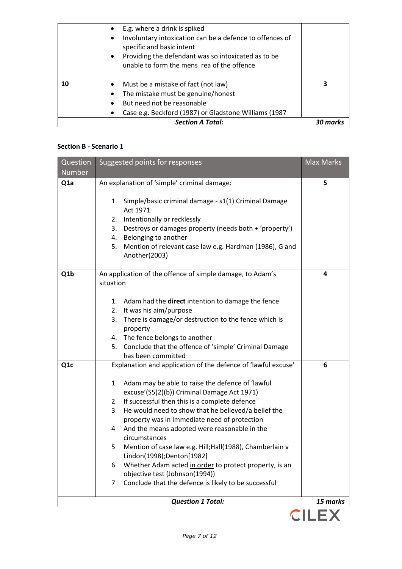|    | E.g. where a drink is spiked<br>Involuntary intoxication can be a defence to offences of<br>$\bullet$<br>specific and basic intent<br>Providing the defendant was so intoxicated as to be<br>$\bullet$<br>unable to form the mens rea of the offence |   |
|----|------------------------------------------------------------------------------------------------------------------------------------------------------------------------------------------------------------------------------------------------------|---|
| 10 | Must be a mistake of fact (not law)<br>The mistake must be genuine/honest<br>٠<br>But need not be reasonable                                                                                                                                         | 3 |
|    | Case e.g. Beckford (1987) or Gladstone Williams (1987<br><b>Section A Total:</b>                                                                                                                                                                     |   |

### **Section B - Scenario 1**

| Question<br><b>Number</b> | Suggested points for responses                                                                                                                                                                                                                                                                                                                                                                                                                                                                                                                                                                           | <b>Max Marks</b> |
|---------------------------|----------------------------------------------------------------------------------------------------------------------------------------------------------------------------------------------------------------------------------------------------------------------------------------------------------------------------------------------------------------------------------------------------------------------------------------------------------------------------------------------------------------------------------------------------------------------------------------------------------|------------------|
| Q <sub>1</sub> a          | An explanation of 'simple' criminal damage:                                                                                                                                                                                                                                                                                                                                                                                                                                                                                                                                                              | 5                |
|                           | Simple/basic criminal damage - s1(1) Criminal Damage<br>1.<br>Act 1971<br>Intentionally or recklessly<br>2.<br>Destroys or damages property (needs both + 'property')<br>3.<br>4. Belonging to another<br>Mention of relevant case law e.g. Hardman (1986), G and<br>5.<br>Another(2003)                                                                                                                                                                                                                                                                                                                 |                  |
| Q1b                       | An application of the offence of simple damage, to Adam's<br>situation                                                                                                                                                                                                                                                                                                                                                                                                                                                                                                                                   | 4                |
|                           | 1. Adam had the direct intention to damage the fence<br>2. It was his aim/purpose<br>There is damage/or destruction to the fence which is<br>3.<br>property<br>4. The fence belongs to another<br>Conclude that the offence of 'simple' Criminal Damage<br>5.                                                                                                                                                                                                                                                                                                                                            |                  |
| Q <sub>1</sub> c          | has been committed<br>Explanation and application of the defence of 'lawful excuse'                                                                                                                                                                                                                                                                                                                                                                                                                                                                                                                      | 6                |
|                           | Adam may be able to raise the defence of 'lawful<br>1<br>excuse'(S5(2)(b)) Criminal Damage Act 1971)<br>If successful then this is a complete defence<br>2<br>He would need to show that he believed/a belief the<br>3<br>property was in immediate need of protection<br>And the means adopted were reasonable in the<br>4<br>circumstances<br>Mention of case law e.g. Hill; Hall(1988), Chamberlain v<br>5<br>Lindon(1998);Denton[1982]<br>Whether Adam acted in order to protect property, is an<br>6<br>objective test (Johnson(1994))<br>Conclude that the defence is likely to be successful<br>7 |                  |
|                           | <b>Question 1 Total:</b>                                                                                                                                                                                                                                                                                                                                                                                                                                                                                                                                                                                 | 15 marks         |
|                           |                                                                                                                                                                                                                                                                                                                                                                                                                                                                                                                                                                                                          | <b>CILEX</b>     |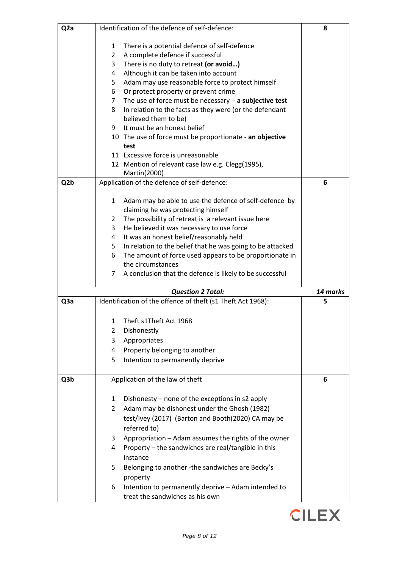| Q <sub>2</sub> a |                     | Identification of the defence of self-defence:                                   | 8        |
|------------------|---------------------|----------------------------------------------------------------------------------|----------|
|                  |                     |                                                                                  |          |
|                  | 1<br>$\overline{2}$ | There is a potential defence of self-defence<br>A complete defence if successful |          |
|                  | 3                   | There is no duty to retreat (or avoid)                                           |          |
|                  | 4                   | Although it can be taken into account                                            |          |
|                  | 5.                  | Adam may use reasonable force to protect himself                                 |          |
|                  | 6                   | Or protect property or prevent crime                                             |          |
|                  | $\overline{7}$      | The use of force must be necessary - a subjective test                           |          |
|                  | 8                   | In relation to the facts as they were (or the defendant                          |          |
|                  |                     | believed them to be)                                                             |          |
|                  | 9                   | It must be an honest belief                                                      |          |
|                  |                     | 10 The use of force must be proportionate - an objective                         |          |
|                  |                     | test                                                                             |          |
|                  |                     | 11 Excessive force is unreasonable                                               |          |
|                  |                     | 12 Mention of relevant case law e.g. Clegg(1995),                                |          |
|                  |                     | Martin(2000)                                                                     |          |
| Q <sub>2</sub> b |                     | Application of the defence of self-defence:                                      | 6        |
|                  |                     |                                                                                  |          |
|                  | 1                   | Adam may be able to use the defence of self-defence by                           |          |
|                  |                     | claiming he was protecting himself                                               |          |
|                  | $\mathbf{2}$        | The possibility of retreat is a relevant issue here                              |          |
|                  | 3                   | He believed it was necessary to use force                                        |          |
|                  | 4                   | It was an honest belief/reasonably held                                          |          |
|                  | 5.                  | In relation to the belief that he was going to be attacked                       |          |
|                  | 6                   | The amount of force used appears to be proportionate in                          |          |
|                  |                     | the circumstances                                                                |          |
|                  | $\overline{7}$      | A conclusion that the defence is likely to be successful                         |          |
|                  |                     | <b>Question 2 Total:</b>                                                         | 14 marks |
| Q3a              |                     | Identification of the offence of theft (s1 Theft Act 1968):                      | 5        |
|                  | 1                   | Theft s1Theft Act 1968                                                           |          |
|                  | $\overline{2}$      | Dishonestly                                                                      |          |
|                  | 3                   | Appropriates                                                                     |          |
|                  | 4                   | Property belonging to another                                                    |          |
|                  | 5                   | Intention to permanently deprive                                                 |          |
|                  |                     |                                                                                  |          |
| Q3b              |                     | Application of the law of theft                                                  | 6        |
|                  |                     |                                                                                  |          |
|                  | $\mathbf{1}$        | Dishonesty – none of the exceptions in s2 apply                                  |          |
|                  | $\overline{2}$      | Adam may be dishonest under the Ghosh (1982)                                     |          |
|                  |                     | test/Ivey (2017) (Barton and Booth(2020) CA may be<br>referred to)               |          |
|                  |                     |                                                                                  |          |
|                  | 3                   | Appropriation - Adam assumes the rights of the owner                             |          |
|                  | 4                   | Property - the sandwiches are real/tangible in this<br>instance                  |          |
|                  | 5.                  | Belonging to another -the sandwiches are Becky's                                 |          |
|                  |                     | property                                                                         |          |
|                  | 6                   | Intention to permanently deprive - Adam intended to                              |          |
|                  |                     | treat the sandwiches as his own                                                  |          |

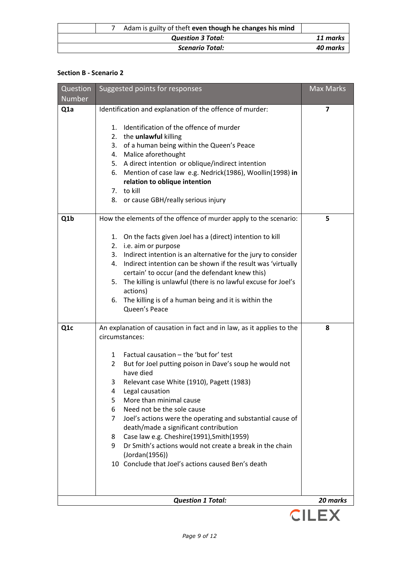|                          | Adam is guilty of theft even though he changes his mind |                        |          |
|--------------------------|---------------------------------------------------------|------------------------|----------|
| <b>Question 3 Total:</b> |                                                         | 11 marks               |          |
|                          |                                                         | <b>Scenario Total:</b> | 40 marks |

### **Section B - Scenario 2**

| Question         | Suggested points for responses                                                                                  | <b>Max Marks</b> |
|------------------|-----------------------------------------------------------------------------------------------------------------|------------------|
| Number           |                                                                                                                 |                  |
| Q <sub>1</sub> a | Identification and explanation of the offence of murder:                                                        | 7                |
|                  |                                                                                                                 |                  |
|                  | Identification of the offence of murder<br>1.                                                                   |                  |
|                  | 2. the unlawful killing<br>3. of a human being within the Queen's Peace                                         |                  |
|                  | 4. Malice aforethought                                                                                          |                  |
|                  | 5. A direct intention or oblique/indirect intention                                                             |                  |
|                  | Mention of case law e.g. Nedrick(1986), Woollin(1998) in<br>6.                                                  |                  |
|                  | relation to oblique intention                                                                                   |                  |
|                  | 7. to kill                                                                                                      |                  |
|                  | or cause GBH/really serious injury<br>8.                                                                        |                  |
| Q1b              | How the elements of the offence of murder apply to the scenario:                                                | 5                |
|                  | On the facts given Joel has a (direct) intention to kill<br>1.                                                  |                  |
|                  | 2. i.e. aim or purpose                                                                                          |                  |
|                  | 3. Indirect intention is an alternative for the jury to consider                                                |                  |
|                  | Indirect intention can be shown if the result was 'virtually<br>4.                                              |                  |
|                  | certain' to occur (and the defendant knew this)                                                                 |                  |
|                  | 5.<br>The killing is unlawful (there is no lawful excuse for Joel's<br>actions)                                 |                  |
|                  | The killing is of a human being and it is within the<br>6.                                                      |                  |
|                  | Queen's Peace                                                                                                   |                  |
| Q <sub>1</sub> c | An explanation of causation in fact and in law, as it applies to the                                            | 8                |
|                  | circumstances:                                                                                                  |                  |
|                  | Factual causation - the 'but for' test<br>1                                                                     |                  |
|                  | But for Joel putting poison in Dave's soup he would not<br>2<br>have died                                       |                  |
|                  | Relevant case White (1910), Pagett (1983)<br>3                                                                  |                  |
|                  | Legal causation<br>4                                                                                            |                  |
|                  | More than minimal cause<br>5                                                                                    |                  |
|                  | Need not be the sole cause<br>6                                                                                 |                  |
|                  | Joel's actions were the operating and substantial cause of<br>7                                                 |                  |
|                  | death/made a significant contribution                                                                           |                  |
|                  | Case law e.g. Cheshire(1991), Smith(1959)<br>8<br>9<br>Dr Smith's actions would not create a break in the chain |                  |
|                  | (Jordan(1956))                                                                                                  |                  |
|                  | 10 Conclude that Joel's actions caused Ben's death                                                              |                  |
|                  |                                                                                                                 |                  |
|                  |                                                                                                                 |                  |
|                  | <b>Question 1 Total:</b>                                                                                        | 20 marks         |

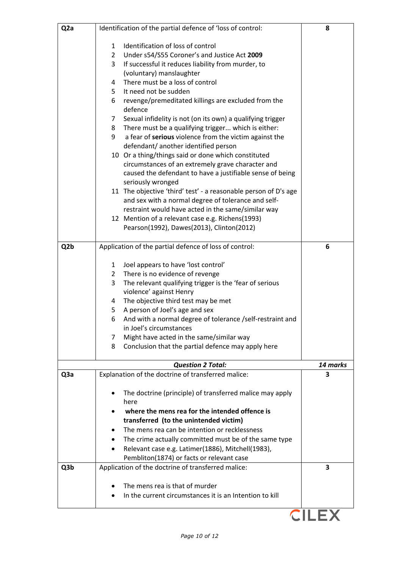| Q <sub>2</sub> a | Identification of the partial defence of 'loss of control:                                             | 8        |
|------------------|--------------------------------------------------------------------------------------------------------|----------|
|                  | Identification of loss of control<br>1                                                                 |          |
|                  | Under s54/S55 Coroner's and Justice Act 2009<br>$\overline{2}$                                         |          |
|                  | If successful it reduces liability from murder, to<br>3                                                |          |
|                  | (voluntary) manslaughter                                                                               |          |
|                  | There must be a loss of control<br>4                                                                   |          |
|                  | It need not be sudden<br>5                                                                             |          |
|                  | revenge/premeditated killings are excluded from the<br>6                                               |          |
|                  | defence                                                                                                |          |
|                  | Sexual infidelity is not (on its own) a qualifying trigger<br>7                                        |          |
|                  | There must be a qualifying trigger which is either:<br>8                                               |          |
|                  | 9<br>a fear of serious violence from the victim against the                                            |          |
|                  | defendant/ another identified person                                                                   |          |
|                  | 10 Or a thing/things said or done which constituted                                                    |          |
|                  | circumstances of an extremely grave character and                                                      |          |
|                  | caused the defendant to have a justifiable sense of being                                              |          |
|                  | seriously wronged                                                                                      |          |
|                  | 11 The objective 'third' test' - a reasonable person of D's age                                        |          |
|                  | and sex with a normal degree of tolerance and self-                                                    |          |
|                  | restraint would have acted in the same/similar way                                                     |          |
|                  | 12 Mention of a relevant case e.g. Richens(1993)                                                       |          |
|                  | Pearson(1992), Dawes(2013), Clinton(2012)                                                              |          |
|                  |                                                                                                        |          |
| Q <sub>2</sub> b | Application of the partial defence of loss of control:                                                 | 6        |
|                  |                                                                                                        |          |
|                  | Joel appears to have 'lost control'<br>$\mathbf{1}$<br>There is no evidence of revenge<br>$\mathbf{2}$ |          |
|                  | 3<br>The relevant qualifying trigger is the 'fear of serious                                           |          |
|                  | violence' against Henry                                                                                |          |
|                  | The objective third test may be met<br>4                                                               |          |
|                  | A person of Joel's age and sex<br>5                                                                    |          |
|                  | 6<br>And with a normal degree of tolerance /self-restraint and                                         |          |
|                  | in Joel's circumstances                                                                                |          |
|                  | Might have acted in the same/similar way<br>7                                                          |          |
|                  | Conclusion that the partial defence may apply here<br>8                                                |          |
|                  |                                                                                                        |          |
|                  | <b>Question 2 Total:</b>                                                                               | 14 marks |
| Q <sub>3</sub> a | Explanation of the doctrine of transferred malice:                                                     | 3        |
|                  |                                                                                                        |          |
|                  | The doctrine (principle) of transferred malice may apply                                               |          |
|                  | here                                                                                                   |          |
|                  | where the mens rea for the intended offence is                                                         |          |
|                  | transferred (to the unintended victim)                                                                 |          |
|                  | The mens rea can be intention or recklessness                                                          |          |
|                  | The crime actually committed must be of the same type                                                  |          |
|                  | Relevant case e.g. Latimer(1886), Mitchell(1983),                                                      |          |
|                  | Pembliton(1874) or facts or relevant case                                                              | 3        |
| Q3b              | Application of the doctrine of transferred malice:                                                     |          |
|                  | The mens rea is that of murder                                                                         |          |
|                  | In the current circumstances it is an Intention to kill                                                |          |
|                  |                                                                                                        |          |
|                  |                                                                                                        |          |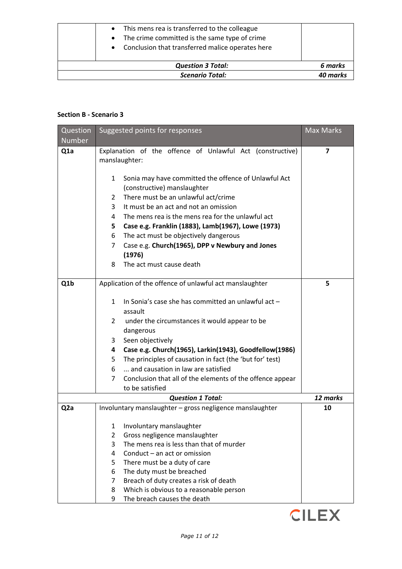|  |  |  | This mens rea is transferred to the colleague |  |  |
|--|--|--|-----------------------------------------------|--|--|
|--|--|--|-----------------------------------------------|--|--|

- The crime committed is the same type of crime
- Conclusion that transferred malice operates here

| <b>Question 3 Total:</b> | 6 marks  |
|--------------------------|----------|
| <b>Scenario Total:</b>   | 40 marks |

### **Section B - Scenario 3**

| Question         | Suggested points for responses | <b>Max Marks</b>                                          |                         |
|------------------|--------------------------------|-----------------------------------------------------------|-------------------------|
| <b>Number</b>    |                                |                                                           |                         |
| Q <sub>1</sub> a |                                | Explanation of the offence of Unlawful Act (constructive) | $\overline{\mathbf{z}}$ |
|                  |                                | manslaughter:                                             |                         |
|                  | $\mathbf{1}$                   | Sonia may have committed the offence of Unlawful Act      |                         |
|                  |                                | (constructive) manslaughter                               |                         |
|                  | 2                              | There must be an unlawful act/crime                       |                         |
|                  | 3                              | It must be an act and not an omission                     |                         |
|                  | 4                              | The mens rea is the mens rea for the unlawful act         |                         |
|                  | 5.                             | Case e.g. Franklin (1883), Lamb(1967), Lowe (1973)        |                         |
|                  | 6                              | The act must be objectively dangerous                     |                         |
|                  | $\overline{7}$                 | Case e.g. Church(1965), DPP v Newbury and Jones           |                         |
|                  |                                | (1976)                                                    |                         |
|                  | 8                              | The act must cause death                                  |                         |
|                  |                                |                                                           |                         |
| Q <sub>1</sub> b |                                | Application of the offence of unlawful act manslaughter   | 5                       |
|                  | $\mathbf{1}$                   | In Sonia's case she has committed an unlawful act -       |                         |
|                  |                                | assault                                                   |                         |
|                  | 2                              | under the circumstances it would appear to be             |                         |
|                  |                                | dangerous                                                 |                         |
|                  | 3                              | Seen objectively                                          |                         |
|                  | 4                              | Case e.g. Church(1965), Larkin(1943), Goodfellow(1986)    |                         |
|                  | 5                              | The principles of causation in fact (the 'but for' test)  |                         |
|                  | 6                              | and causation in law are satisfied                        |                         |
|                  | 7                              | Conclusion that all of the elements of the offence appear |                         |
|                  |                                | to be satisfied                                           |                         |
|                  |                                | <b>Question 1 Total:</b>                                  | 12 marks                |
| Q <sub>2</sub> a |                                | Involuntary manslaughter - gross negligence manslaughter  | 10                      |
|                  |                                | 1 Involuntary manslaughter                                |                         |
|                  | $\overline{2}$                 | Gross negligence manslaughter                             |                         |
|                  | 3                              | The mens rea is less than that of murder                  |                         |
|                  | 4                              | Conduct – an act or omission                              |                         |
|                  | 5                              | There must be a duty of care                              |                         |
|                  | 6                              | The duty must be breached                                 |                         |
|                  | $\overline{7}$                 | Breach of duty creates a risk of death                    |                         |
|                  | 8                              | Which is obvious to a reasonable person                   |                         |
|                  | 9                              | The breach causes the death                               |                         |